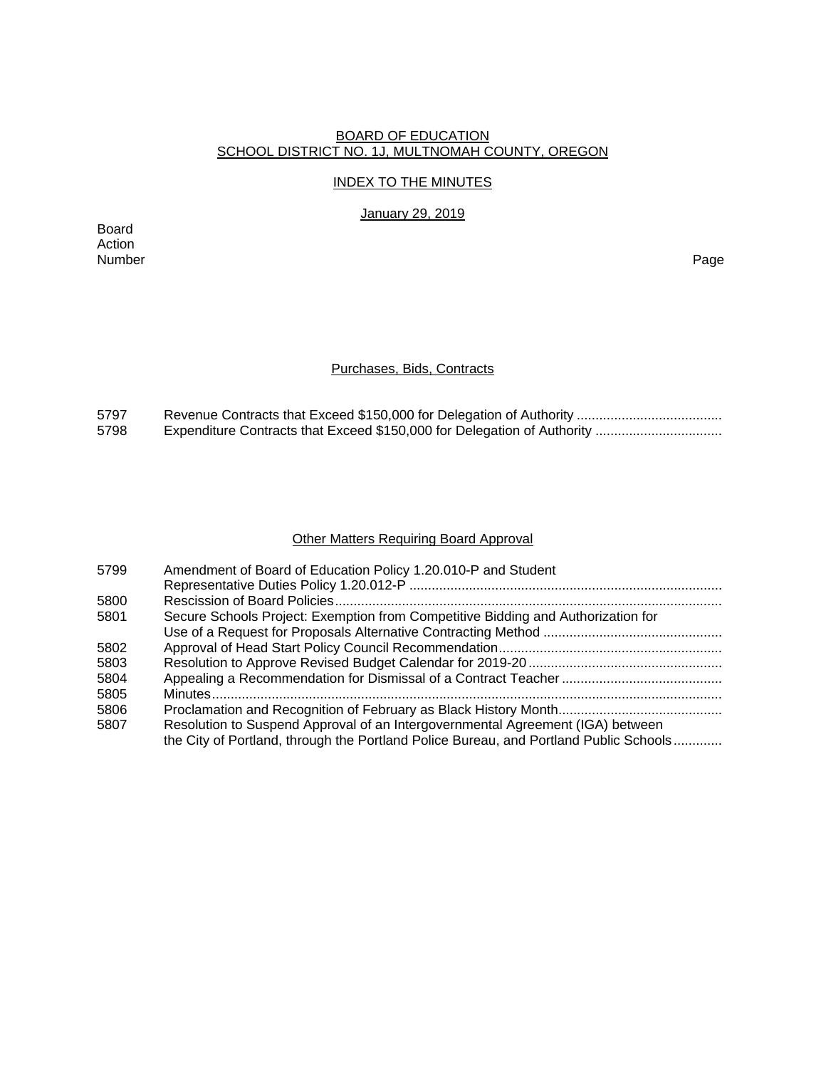## BOARD OF EDUCATION SCHOOL DISTRICT NO. 1J, MULTNOMAH COUNTY, OREGON

## INDEX TO THE MINUTES

January 29, 2019

Board Action Number Page

## Purchases, Bids, Contracts

| 5797 |  |
|------|--|
| 5798 |  |

## Other Matters Requiring Board Approval

| 5799 | Amendment of Board of Education Policy 1.20.010-P and Student                         |
|------|---------------------------------------------------------------------------------------|
|      |                                                                                       |
| 5800 |                                                                                       |
| 5801 | Secure Schools Project: Exemption from Competitive Bidding and Authorization for      |
|      |                                                                                       |
| 5802 |                                                                                       |
| 5803 |                                                                                       |
| 5804 |                                                                                       |
| 5805 |                                                                                       |
| 5806 |                                                                                       |
| 5807 | Resolution to Suspend Approval of an Intergovernmental Agreement (IGA) between        |
|      | the City of Portland, through the Portland Police Bureau, and Portland Public Schools |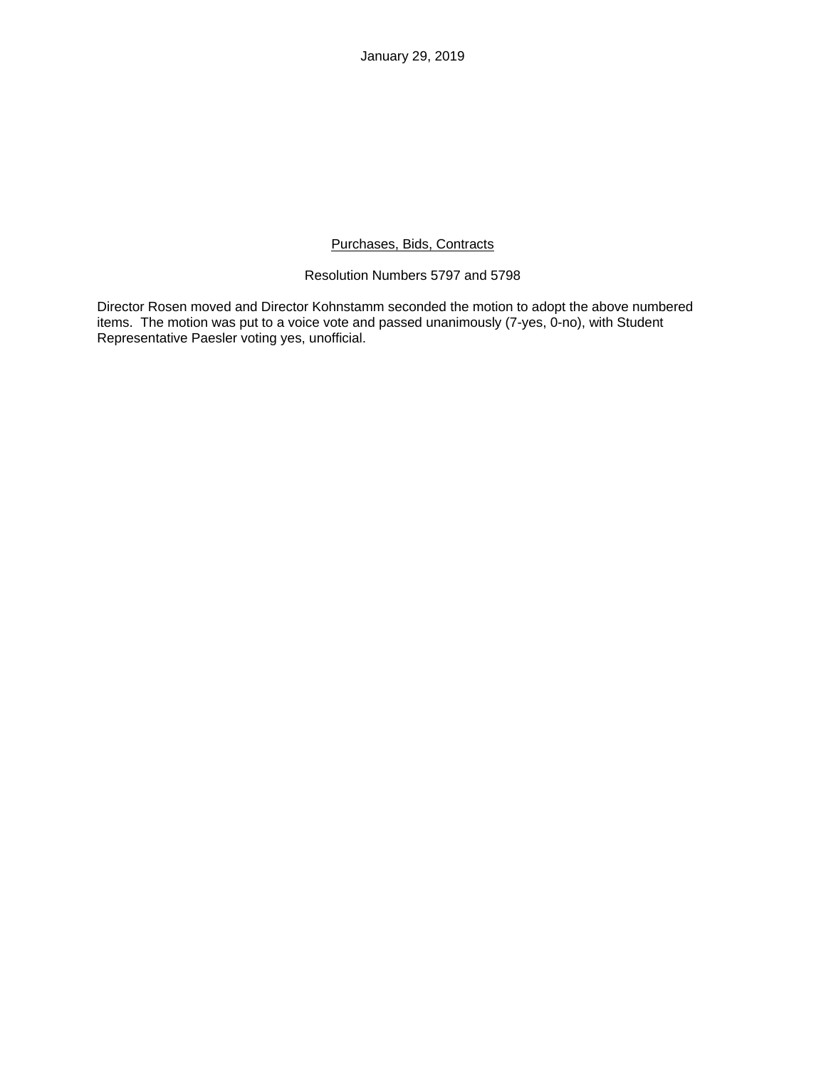January 29, 2019

# Purchases, Bids, Contracts

# Resolution Numbers 5797 and 5798

Director Rosen moved and Director Kohnstamm seconded the motion to adopt the above numbered items. The motion was put to a voice vote and passed unanimously (7-yes, 0-no), with Student Representative Paesler voting yes, unofficial.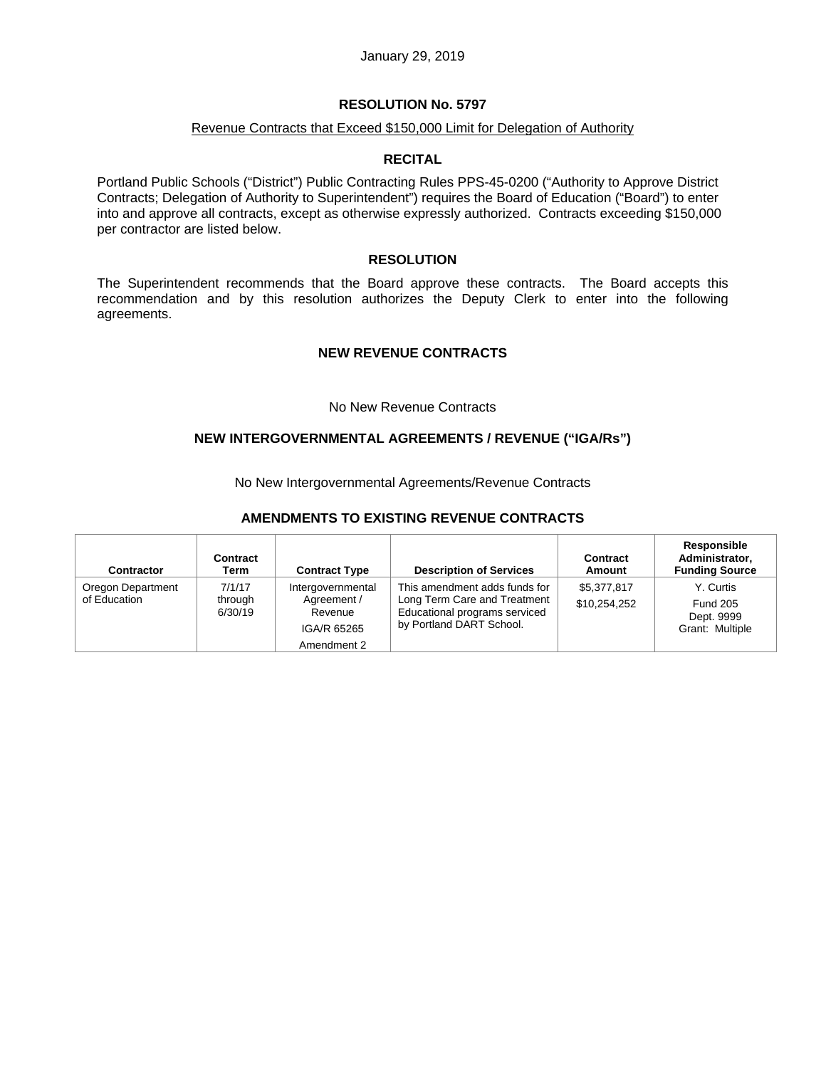#### January 29, 2019

## **RESOLUTION No. 5797**

#### Revenue Contracts that Exceed \$150,000 Limit for Delegation of Authority

### **RECITAL**

Portland Public Schools ("District") Public Contracting Rules PPS-45-0200 ("Authority to Approve District Contracts; Delegation of Authority to Superintendent") requires the Board of Education ("Board") to enter into and approve all contracts, except as otherwise expressly authorized. Contracts exceeding \$150,000 per contractor are listed below.

### **RESOLUTION**

The Superintendent recommends that the Board approve these contracts. The Board accepts this recommendation and by this resolution authorizes the Deputy Clerk to enter into the following agreements.

#### **NEW REVENUE CONTRACTS**

#### No New Revenue Contracts

## **NEW INTERGOVERNMENTAL AGREEMENTS / REVENUE ("IGA/Rs")**

No New Intergovernmental Agreements/Revenue Contracts

### **AMENDMENTS TO EXISTING REVENUE CONTRACTS**

| Contractor                        | Contract<br>Term             | <b>Contract Type</b>                                                      | <b>Description of Services</b>                                                                                             | Contract<br>Amount          | Responsible<br>Administrator,<br><b>Funding Source</b>        |
|-----------------------------------|------------------------------|---------------------------------------------------------------------------|----------------------------------------------------------------------------------------------------------------------------|-----------------------------|---------------------------------------------------------------|
| Oregon Department<br>of Education | 7/1/17<br>through<br>6/30/19 | Intergovernmental<br>Agreement /<br>Revenue<br>IGA/R 65265<br>Amendment 2 | This amendment adds funds for<br>Long Term Care and Treatment<br>Educational programs serviced<br>by Portland DART School. | \$5,377,817<br>\$10,254,252 | Y. Curtis<br><b>Fund 205</b><br>Dept. 9999<br>Grant: Multiple |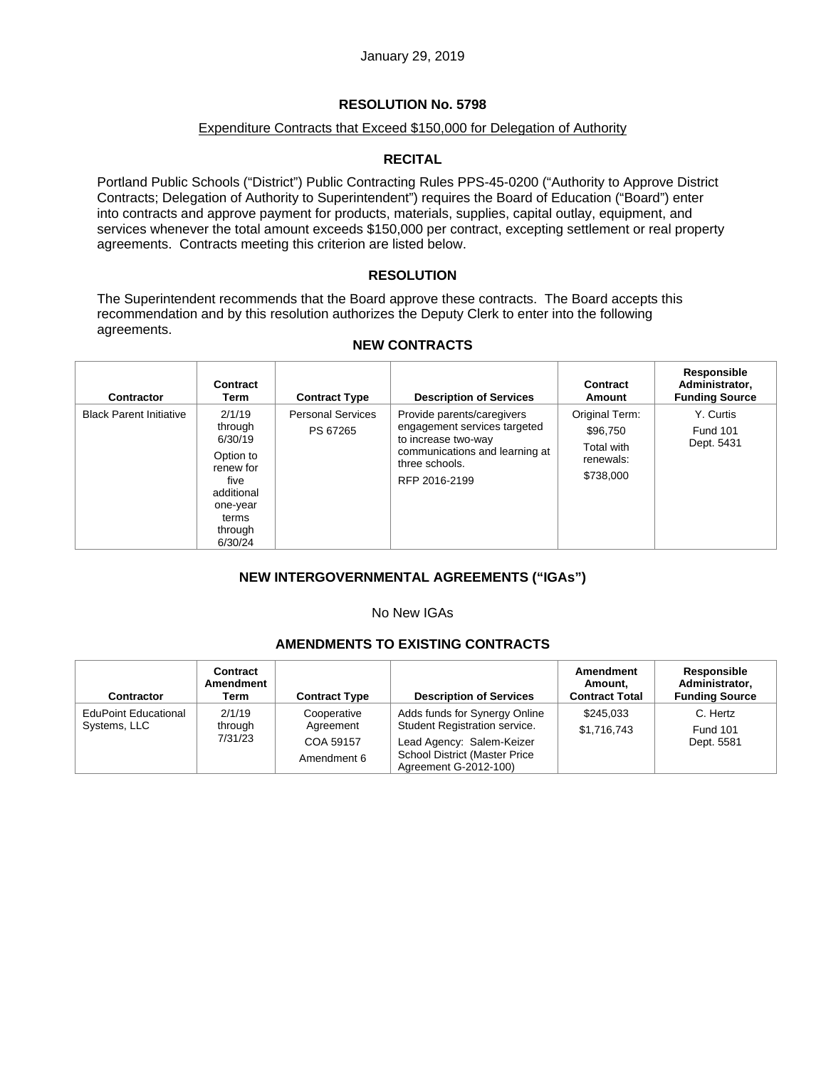# Expenditure Contracts that Exceed \$150,000 for Delegation of Authority

# **RECITAL**

Portland Public Schools ("District") Public Contracting Rules PPS-45-0200 ("Authority to Approve District Contracts; Delegation of Authority to Superintendent") requires the Board of Education ("Board") enter into contracts and approve payment for products, materials, supplies, capital outlay, equipment, and services whenever the total amount exceeds \$150,000 per contract, excepting settlement or real property agreements. Contracts meeting this criterion are listed below.

# **RESOLUTION**

The Superintendent recommends that the Board approve these contracts. The Board accepts this recommendation and by this resolution authorizes the Deputy Clerk to enter into the following agreements.

| Contractor                     | Contract<br>Term                                                                                                        | <b>Contract Type</b>                 | <b>Description of Services</b>                                                                                                                         | Contract<br>Amount                                                 | Responsible<br>Administrator,<br><b>Funding Source</b> |
|--------------------------------|-------------------------------------------------------------------------------------------------------------------------|--------------------------------------|--------------------------------------------------------------------------------------------------------------------------------------------------------|--------------------------------------------------------------------|--------------------------------------------------------|
| <b>Black Parent Initiative</b> | 2/1/19<br>through<br>6/30/19<br>Option to<br>renew for<br>five<br>additional<br>one-year<br>terms<br>through<br>6/30/24 | <b>Personal Services</b><br>PS 67265 | Provide parents/caregivers<br>engagement services targeted<br>to increase two-way<br>communications and learning at<br>three schools.<br>RFP 2016-2199 | Original Term:<br>\$96,750<br>Total with<br>renewals:<br>\$738,000 | Y. Curtis<br><b>Fund 101</b><br>Dept. 5431             |

# **NEW CONTRACTS**

# **NEW INTERGOVERNMENTAL AGREEMENTS ("IGAs")**

### No New IGAs

# **AMENDMENTS TO EXISTING CONTRACTS**

| Contractor                                  | Contract<br>Amendment<br>Term | <b>Contract Type</b>                  | <b>Description of Services</b>                                                              | Amendment<br>Amount.<br><b>Contract Total</b> | <b>Responsible</b><br>Administrator,<br><b>Funding Source</b> |
|---------------------------------------------|-------------------------------|---------------------------------------|---------------------------------------------------------------------------------------------|-----------------------------------------------|---------------------------------------------------------------|
| <b>EduPoint Educational</b><br>Systems, LLC | 2/1/19<br>through<br>7/31/23  | Cooperative<br>Agreement<br>COA 59157 | Adds funds for Synergy Online<br>Student Registration service.<br>Lead Agency: Salem-Keizer | \$245.033<br>\$1,716,743                      | C. Hertz<br><b>Fund 101</b><br>Dept. 5581                     |
|                                             |                               | Amendment 6                           | <b>School District (Master Price</b><br>Agreement G-2012-100)                               |                                               |                                                               |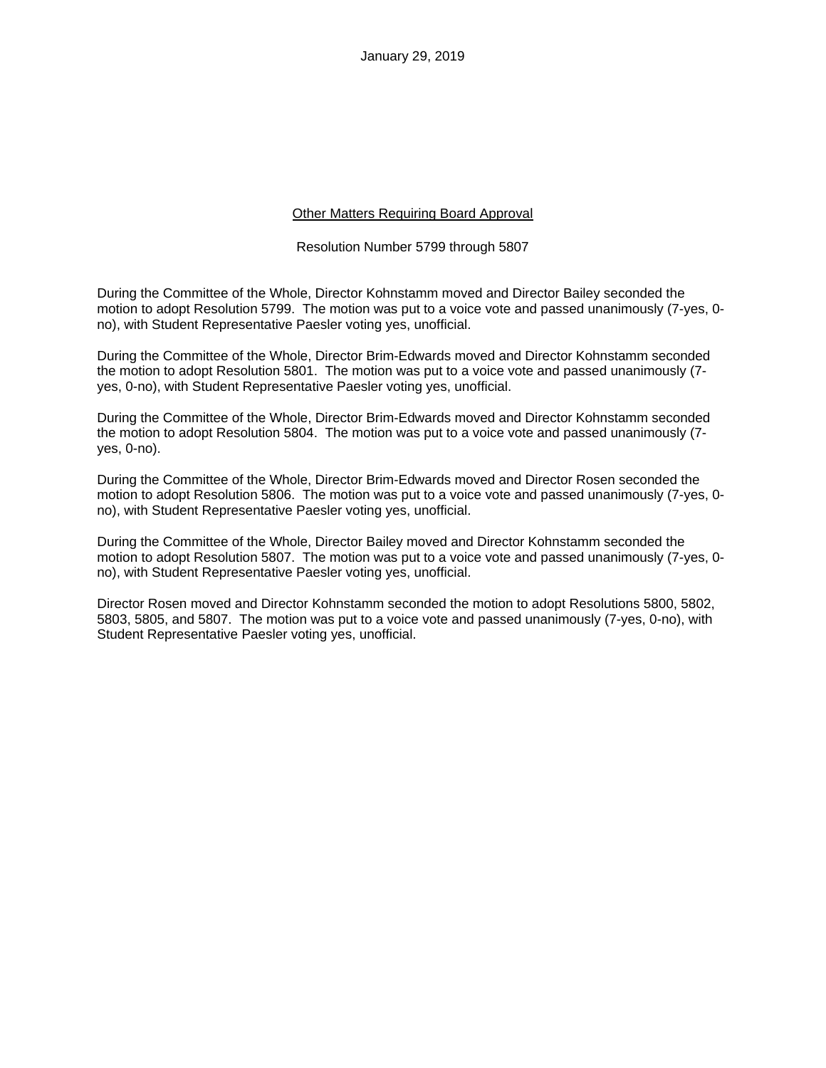January 29, 2019

## Other Matters Requiring Board Approval

Resolution Number 5799 through 5807

During the Committee of the Whole, Director Kohnstamm moved and Director Bailey seconded the motion to adopt Resolution 5799. The motion was put to a voice vote and passed unanimously (7-yes, 0 no), with Student Representative Paesler voting yes, unofficial.

During the Committee of the Whole, Director Brim-Edwards moved and Director Kohnstamm seconded the motion to adopt Resolution 5801. The motion was put to a voice vote and passed unanimously (7 yes, 0-no), with Student Representative Paesler voting yes, unofficial.

During the Committee of the Whole, Director Brim-Edwards moved and Director Kohnstamm seconded the motion to adopt Resolution 5804. The motion was put to a voice vote and passed unanimously (7 yes, 0-no).

During the Committee of the Whole, Director Brim-Edwards moved and Director Rosen seconded the motion to adopt Resolution 5806. The motion was put to a voice vote and passed unanimously (7-yes, 0 no), with Student Representative Paesler voting yes, unofficial.

During the Committee of the Whole, Director Bailey moved and Director Kohnstamm seconded the motion to adopt Resolution 5807. The motion was put to a voice vote and passed unanimously (7-yes, 0 no), with Student Representative Paesler voting yes, unofficial.

Director Rosen moved and Director Kohnstamm seconded the motion to adopt Resolutions 5800, 5802, 5803, 5805, and 5807. The motion was put to a voice vote and passed unanimously (7-yes, 0-no), with Student Representative Paesler voting yes, unofficial.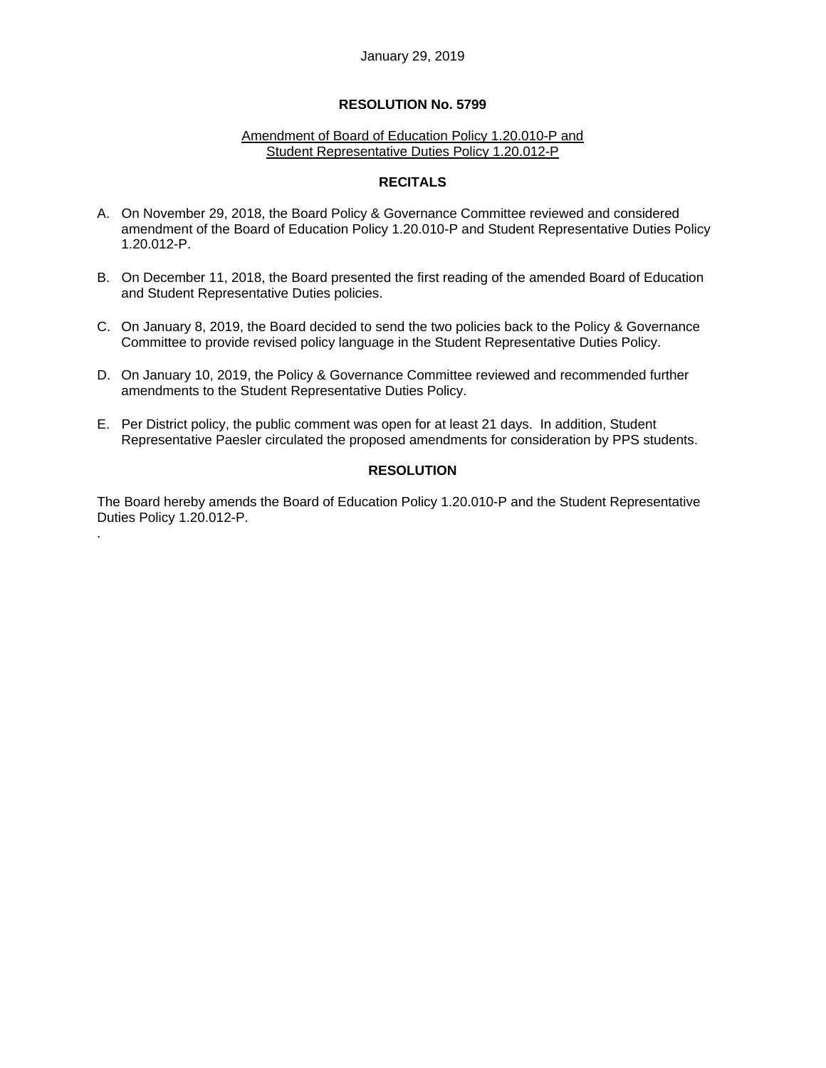#### Amendment of Board of Education Policy 1.20.010-P and Student Representative Duties Policy 1.20.012-P

## **RECITALS**

- A. On November 29, 2018, the Board Policy & Governance Committee reviewed and considered amendment of the Board of Education Policy 1.20.010-P and Student Representative Duties Policy 1.20.012-P.
- B. On December 11, 2018, the Board presented the first reading of the amended Board of Education and Student Representative Duties policies.
- C. On January 8, 2019, the Board decided to send the two policies back to the Policy & Governance Committee to provide revised policy language in the Student Representative Duties Policy.
- D. On January 10, 2019, the Policy & Governance Committee reviewed and recommended further amendments to the Student Representative Duties Policy.
- E. Per District policy, the public comment was open for at least 21 days. In addition, Student Representative Paesler circulated the proposed amendments for consideration by PPS students.

# **RESOLUTION**

The Board hereby amends the Board of Education Policy 1.20.010-P and the Student Representative Duties Policy 1.20.012-P.

.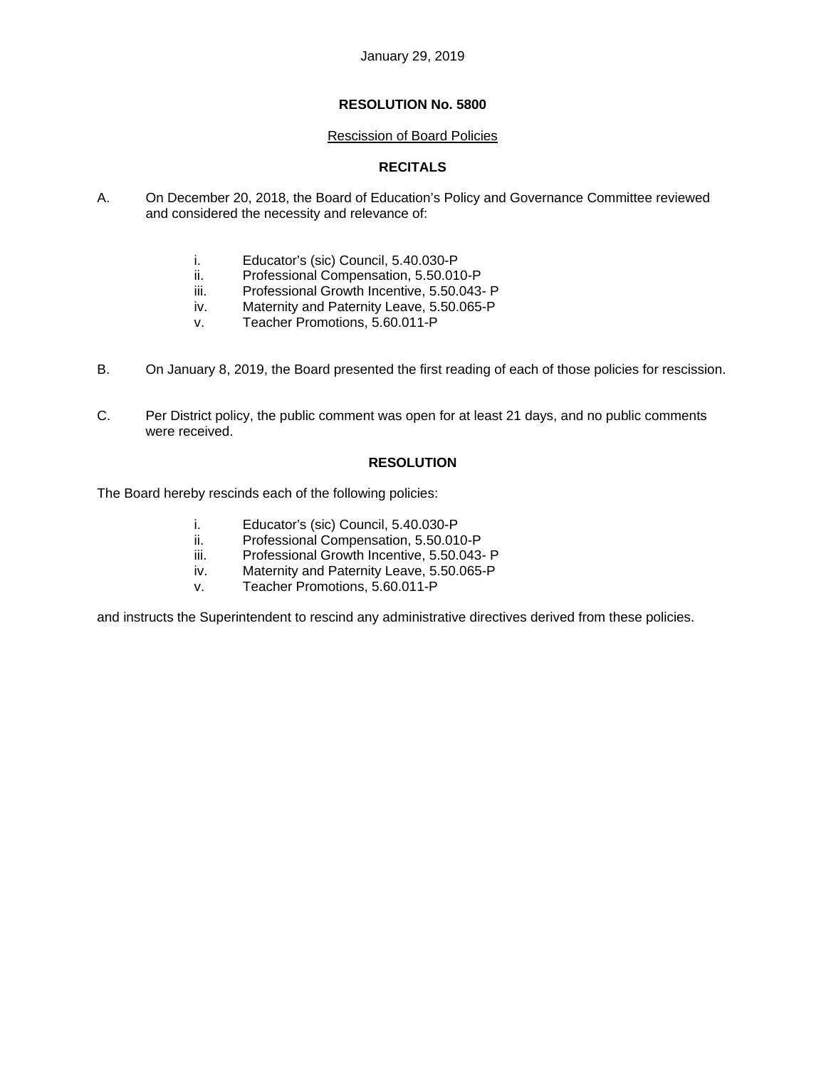#### Rescission of Board Policies

# **RECITALS**

- A. On December 20, 2018, the Board of Education's Policy and Governance Committee reviewed and considered the necessity and relevance of:
	- i. Educator's (sic) Council, 5.40.030-P
	- ii. Professional Compensation, 5.50.010-P
	- iii. Professional Growth Incentive, 5.50.043- P
	- iv. Maternity and Paternity Leave, 5.50.065-P
	- v. Teacher Promotions, 5.60.011-P
- B. On January 8, 2019, the Board presented the first reading of each of those policies for rescission.
- C. Per District policy, the public comment was open for at least 21 days, and no public comments were received.

## **RESOLUTION**

The Board hereby rescinds each of the following policies:

- i. Educator's (sic) Council, 5.40.030-P
- ii. Professional Compensation, 5.50.010-P
- iii. Professional Growth Incentive, 5.50.043- P
- iv. Maternity and Paternity Leave, 5.50.065-P
- v. Teacher Promotions, 5.60.011-P

and instructs the Superintendent to rescind any administrative directives derived from these policies.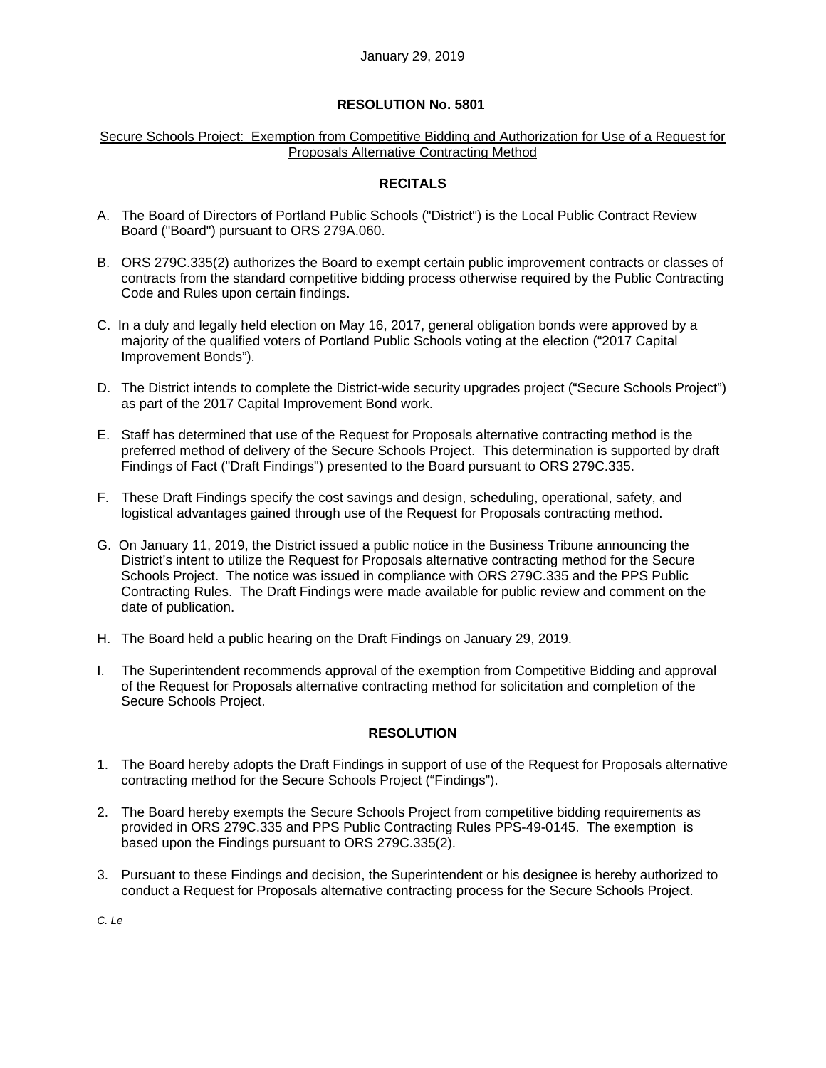## Secure Schools Project: Exemption from Competitive Bidding and Authorization for Use of a Request for Proposals Alternative Contracting Method

## **RECITALS**

- A. The Board of Directors of Portland Public Schools ("District") is the Local Public Contract Review Board ("Board") pursuant to ORS 279A.060.
- B. ORS 279C.335(2) authorizes the Board to exempt certain public improvement contracts or classes of contracts from the standard competitive bidding process otherwise required by the Public Contracting Code and Rules upon certain findings.
- C. In a duly and legally held election on May 16, 2017, general obligation bonds were approved by a majority of the qualified voters of Portland Public Schools voting at the election ("2017 Capital Improvement Bonds").
- D. The District intends to complete the District-wide security upgrades project ("Secure Schools Project") as part of the 2017 Capital Improvement Bond work.
- E. Staff has determined that use of the Request for Proposals alternative contracting method is the preferred method of delivery of the Secure Schools Project. This determination is supported by draft Findings of Fact ("Draft Findings") presented to the Board pursuant to ORS 279C.335.
- F. These Draft Findings specify the cost savings and design, scheduling, operational, safety, and logistical advantages gained through use of the Request for Proposals contracting method.
- G. On January 11, 2019, the District issued a public notice in the Business Tribune announcing the District's intent to utilize the Request for Proposals alternative contracting method for the Secure Schools Project. The notice was issued in compliance with ORS 279C.335 and the PPS Public Contracting Rules. The Draft Findings were made available for public review and comment on the date of publication.
- H. The Board held a public hearing on the Draft Findings on January 29, 2019.
- I. The Superintendent recommends approval of the exemption from Competitive Bidding and approval of the Request for Proposals alternative contracting method for solicitation and completion of the Secure Schools Project.

# **RESOLUTION**

- 1. The Board hereby adopts the Draft Findings in support of use of the Request for Proposals alternative contracting method for the Secure Schools Project ("Findings").
- 2. The Board hereby exempts the Secure Schools Project from competitive bidding requirements as provided in ORS 279C.335 and PPS Public Contracting Rules PPS-49-0145. The exemption is based upon the Findings pursuant to ORS 279C.335(2).
- 3. Pursuant to these Findings and decision, the Superintendent or his designee is hereby authorized to conduct a Request for Proposals alternative contracting process for the Secure Schools Project.

*C. Le*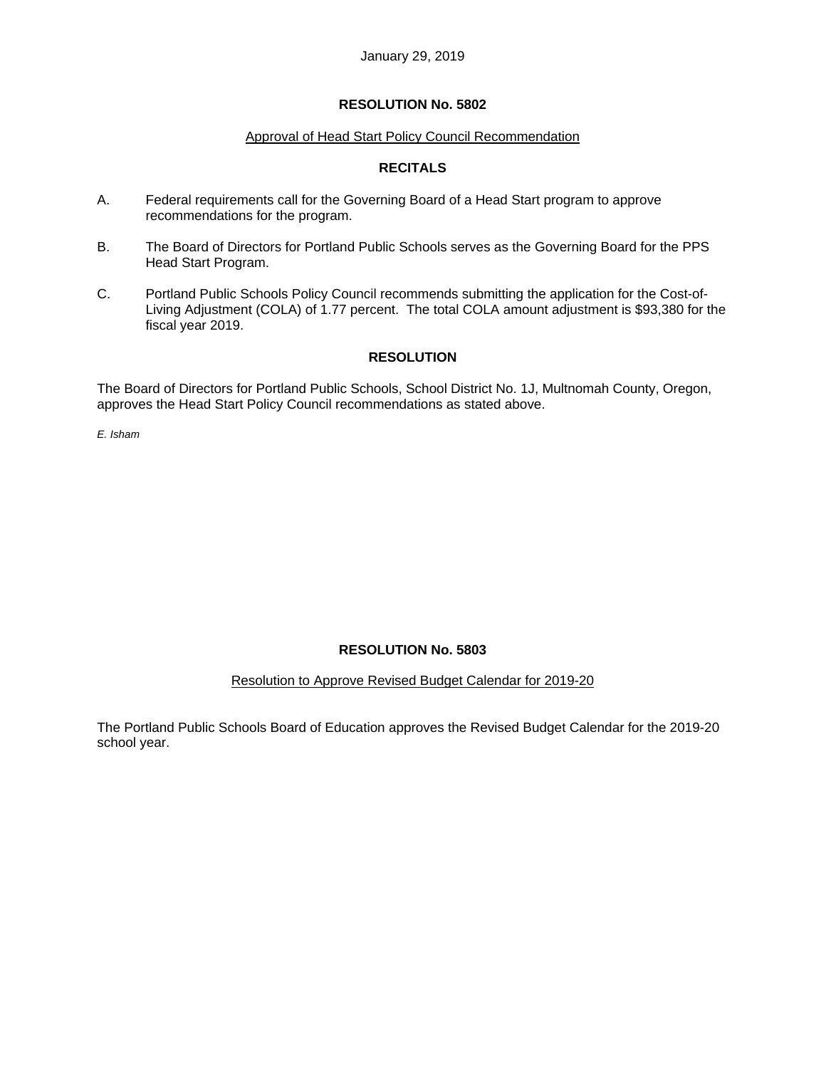## Approval of Head Start Policy Council Recommendation

# **RECITALS**

- A. Federal requirements call for the Governing Board of a Head Start program to approve recommendations for the program.
- B. The Board of Directors for Portland Public Schools serves as the Governing Board for the PPS Head Start Program.
- C. Portland Public Schools Policy Council recommends submitting the application for the Cost-of-Living Adjustment (COLA) of 1.77 percent. The total COLA amount adjustment is \$93,380 for the fiscal year 2019.

# **RESOLUTION**

The Board of Directors for Portland Public Schools, School District No. 1J, Multnomah County, Oregon, approves the Head Start Policy Council recommendations as stated above.

*E. Isham* 

# **RESOLUTION No. 5803**

# Resolution to Approve Revised Budget Calendar for 2019-20

The Portland Public Schools Board of Education approves the Revised Budget Calendar for the 2019-20 school year.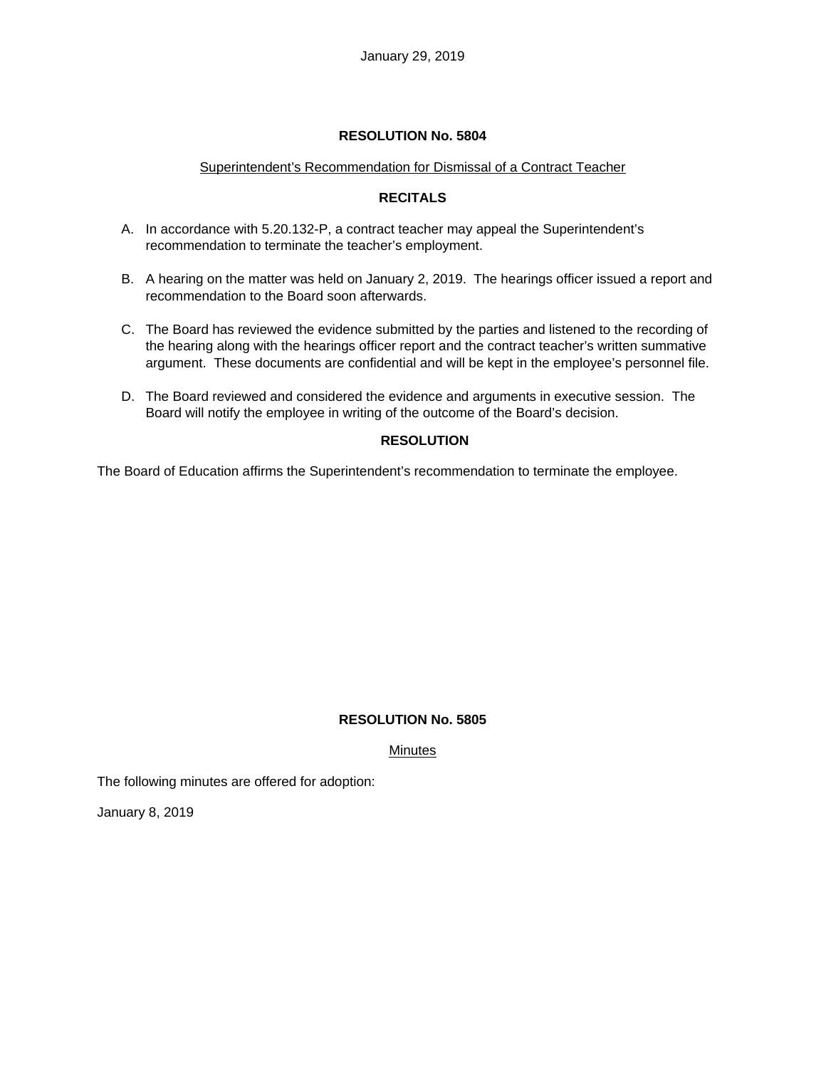## Superintendent's Recommendation for Dismissal of a Contract Teacher

# **RECITALS**

- A. In accordance with 5.20.132-P, a contract teacher may appeal the Superintendent's recommendation to terminate the teacher's employment.
- B. A hearing on the matter was held on January 2, 2019. The hearings officer issued a report and recommendation to the Board soon afterwards.
- C. The Board has reviewed the evidence submitted by the parties and listened to the recording of the hearing along with the hearings officer report and the contract teacher's written summative argument. These documents are confidential and will be kept in the employee's personnel file.
- D. The Board reviewed and considered the evidence and arguments in executive session. The Board will notify the employee in writing of the outcome of the Board's decision.

# **RESOLUTION**

The Board of Education affirms the Superintendent's recommendation to terminate the employee.

# **RESOLUTION No. 5805**

Minutes

The following minutes are offered for adoption:

January 8, 2019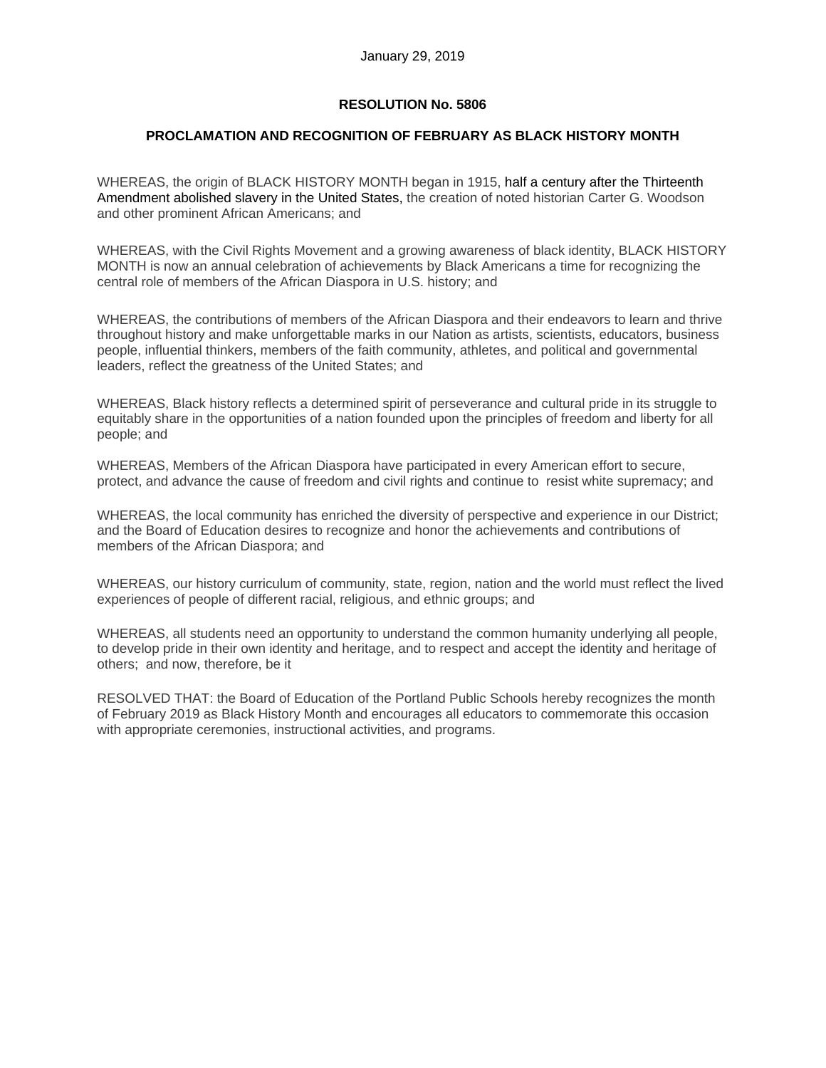## **PROCLAMATION AND RECOGNITION OF FEBRUARY AS BLACK HISTORY MONTH**

WHEREAS, the origin of BLACK HISTORY MONTH began in 1915, half a century after the Thirteenth Amendment abolished slavery in the United States, the creation of noted historian Carter G. Woodson and other prominent African Americans; and

WHEREAS, with the Civil Rights Movement and a growing awareness of black identity, BLACK HISTORY MONTH is now an annual celebration of achievements by Black Americans a time for recognizing the central role of members of the African Diaspora in U.S. history; and

WHEREAS, the contributions of members of the African Diaspora and their endeavors to learn and thrive throughout history and make unforgettable marks in our Nation as artists, scientists, educators, business people, influential thinkers, members of the faith community, athletes, and political and governmental leaders, reflect the greatness of the United States; and

WHEREAS, Black history reflects a determined spirit of perseverance and cultural pride in its struggle to equitably share in the opportunities of a nation founded upon the principles of freedom and liberty for all people; and

WHEREAS, Members of the African Diaspora have participated in every American effort to secure, protect, and advance the cause of freedom and civil rights and continue to resist white supremacy; and

WHEREAS, the local community has enriched the diversity of perspective and experience in our District; and the Board of Education desires to recognize and honor the achievements and contributions of members of the African Diaspora; and

WHEREAS, our history curriculum of community, state, region, nation and the world must reflect the lived experiences of people of different racial, religious, and ethnic groups; and

WHEREAS, all students need an opportunity to understand the common humanity underlying all people, to develop pride in their own identity and heritage, and to respect and accept the identity and heritage of others; and now, therefore, be it

RESOLVED THAT: the Board of Education of the Portland Public Schools hereby recognizes the month of February 2019 as Black History Month and encourages all educators to commemorate this occasion with appropriate ceremonies, instructional activities, and programs.